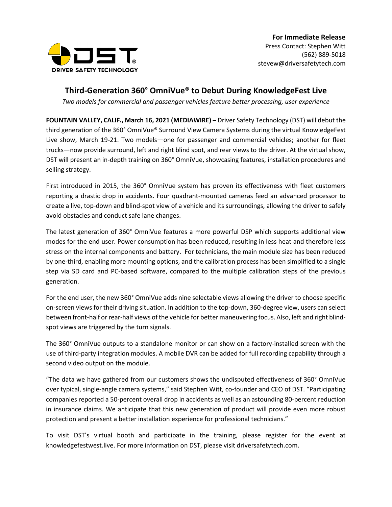

## **Third-Generation 360° OmniVue® to Debut During KnowledgeFest Live**

*Two models for commercial and passenger vehicles feature better processing, user experience*

**FOUNTAIN VALLEY, CALIF., March 16, 2021 (MEDIAWIRE) –** Driver Safety Technology (DST) will debut the third generation of the 360° OmniVue® Surround View Camera Systems during the virtual KnowledgeFest Live show, March 19-21. Two models—one for passenger and commercial vehicles; another for fleet trucks—now provide surround, left and right blind spot, and rear views to the driver. At the virtual show, DST will present an in-depth training on 360° OmniVue, showcasing features, installation procedures and selling strategy.

First introduced in 2015, the 360° OmniVue system has proven its effectiveness with fleet customers reporting a drastic drop in accidents. Four quadrant-mounted cameras feed an advanced processor to create a live, top-down and blind-spot view of a vehicle and its surroundings, allowing the driver to safely avoid obstacles and conduct safe lane changes.

The latest generation of 360° OmniVue features a more powerful DSP which supports additional view modes for the end user. Power consumption has been reduced, resulting in less heat and therefore less stress on the internal components and battery. For technicians, the main module size has been reduced by one-third, enabling more mounting options, and the calibration process has been simplified to a single step via SD card and PC-based software, compared to the multiple calibration steps of the previous generation.

For the end user, the new 360° OmniVue adds nine selectable views allowing the driver to choose specific on-screen views for their driving situation. In addition to the top-down, 360-degree view, users can select between front-half or rear-half views of the vehicle for better maneuvering focus. Also, left and right blindspot views are triggered by the turn signals.

The 360° OmniVue outputs to a standalone monitor or can show on a factory-installed screen with the use of third-party integration modules. A mobile DVR can be added for full recording capability through a second video output on the module.

"The data we have gathered from our customers shows the undisputed effectiveness of 360° OmniVue over typical, single-angle camera systems," said Stephen Witt, co-founder and CEO of DST. "Participating companies reported a 50-percent overall drop in accidents as well as an astounding 80-percent reduction in insurance claims. We anticipate that this new generation of product will provide even more robust protection and present a better installation experience for professional technicians."

To visit DST's virtual booth and participate in the training, please register for the event at knowledgefestwest.live. For more information on DST, please visit driversafetytech.com.